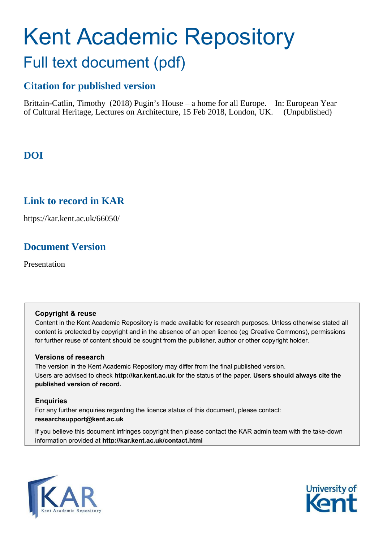# Kent Academic Repository Full text document (pdf)

# **Citation for published version**

Brittain-Catlin, Timothy (2018) Pugin's House – a home for all Europe. In: European Year of Cultural Heritage, Lectures on Architecture, 15 Feb 2018, London, UK. (Unpublished)

# **DOI**

## **Link to record in KAR**

https://kar.kent.ac.uk/66050/

## **Document Version**

Presentation

## **Copyright & reuse**

Content in the Kent Academic Repository is made available for research purposes. Unless otherwise stated all content is protected by copyright and in the absence of an open licence (eg Creative Commons), permissions for further reuse of content should be sought from the publisher, author or other copyright holder.

## **Versions of research**

The version in the Kent Academic Repository may differ from the final published version. Users are advised to check **http://kar.kent.ac.uk** for the status of the paper. **Users should always cite the published version of record.**

## **Enquiries**

For any further enquiries regarding the licence status of this document, please contact: **researchsupport@kent.ac.uk**

If you believe this document infringes copyright then please contact the KAR admin team with the take-down information provided at **http://kar.kent.ac.uk/contact.html**



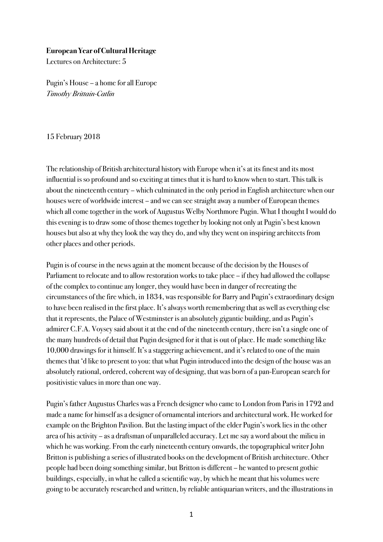## **European Year of Cultural Heritage**

Lectures on Architecture: 5

Pugin's House – a home for all Europe Timothy Brittain-Catlin

15 February 2018

The relationship of British architectural history with Europe when it's at its finest and its most influential is so profound and so exciting at times that it is hard to know when to start. This talk is about the nineteenth century – which culminated in the only period in English architecture when our houses were of worldwide interest – and we can see straight away a number of European themes which all come together in the work of Augustus Welby Northmore Pugin. What I thought I would do this evening is to draw some of those themes together by looking not only at Pugin's best known houses but also at why they look the way they do, and why they went on inspiring architects from other places and other periods.

Pugin is of course in the news again at the moment because of the decision by the Houses of Parliament to relocate and to allow restoration works to take place – if they had allowed the collapse of the complex to continue any longer, they would have been in danger of recreating the circumstances of the fire which, in 1834, was responsible for Barry and Pugin's extraordinary design to have been realised in the first place. It's always worth remembering that as well as everything else that it represents, the Palace of Westminster is an absolutely gigantic building, and as Pugin's admirer C.F.A. Voysey said about it at the end of the nineteenth century, there isn'ta single one of the many hundreds of detail that Pugin designed for it that is out of place. He made something like 10,000 drawings for it himself. It's a staggering achievement, and it's related to one of the main themes that 'd like to present to you: that what Pugin introduced into the design of the house was an absolutely rational, ordered, coherent way of designing, that was born of a pan-European search for positivistic values in more than one way.

Pugin's father Augustus Charles was a French designer who came to London from Paris in 1792 and made a name for himself as a designer of ornamental interiors and architectural work. He worked for example on the Brighton Pavilion. But the lasting impact of the elder Pugin's work lies in the other area of his activity – as a draftsman of unparalleled accuracy. Let me say a word about the milieu in which he was working. From the early nineteenth century onwards, the topographical writer John Britton is publishing a series of illustrated books on the development of British architecture. Other people had been doing something similar, but Britton is different – he wanted to present gothic buildings, especially, in what he called a scientific way, by which he meant that his volumes were going to be accurately researched and written, by reliable antiquarian writers, and the illustrations in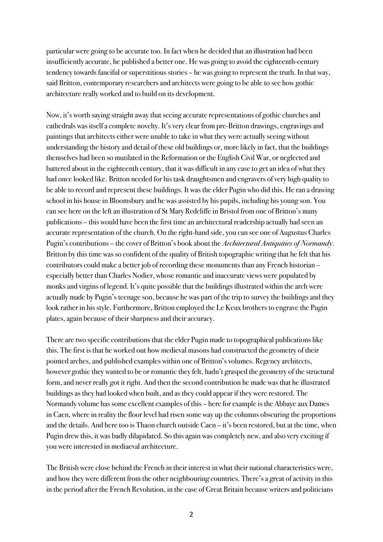particular were going to be accurate too. In fact when he decided that an illustration had been insufficiently accurate, he published a better one. He was going to avoid the eighteenth-century tendency towards fanciful or superstitious stories – he was going to represent the truth. In that way, said Britton, contemporary researchers and architects were going to be able to see how gothic architecture really worked and to build on its development.

Now, it's worth saying straight away that seeing accurate representations of gothic churches and cathedrals was itself a complete novelty. It's very clear from pre-Britton drawings, engravings and paintings that architects either were unable to take in what they were actually seeing without understanding the history and detail of these old buildings or, more likely in fact, that the buildings themselves had been so mutilated in the Reformation or the English Civil War, or neglected and battered about in the eighteenth century, that it was difficult in any case to get an idea of what they had once looked like. Britton needed for his task draughtsmen and engravers of very high quality to be able to record and represent these buildings. It was the elder Pugin who did this. He ran a drawing school in his house in Bloomsbury and he was assisted by his pupils, including his young son. You can see here on the leftan illustration of St Mary Redcliffe in Bristol from one of Britton's many publications – this would have been the first time an architectural readership actually had seen an accurate representation of the church. On the right-hand side, you can see one of Augustus Charles Pugin's contributions – the cover of Britton's book about the Architectural Antiquities of Normandy. Britton by this time was so confident of the quality of British topographic writing that he felt that his contributors could make a better job of recording these monuments than any French historian – especially better than Charles Nodier, whose romantic and inaccurate views were populated by monks and virgins of legend. It's quite possible that the buildings illustrated within the arch were actually made by Pugin's teenage son, because he was part of the trip to survey the buildings and they look rather in his style. Furthermore, Britton employed the Le Keux brothers to engrave the Pugin plates, again because of their sharpness and their accuracy.

There are two specific contributions that the elder Pugin made to topographical publications like this. The first is that he worked out how medieval masons had constructed the geometry of their pointed arches, and published examples within one of Britton's volumes. Regency architects, however gothic they wanted to be or romantic they felt, hadn't grasped the geometry of the structural form, and never really got it right. And then the second contribution he made was that he illustrated buildings as they had looked when built, and as they could appear if they were restored. The Normandy volume has some excellent examples of this – here for example is the Abbaye aux Dames in Caen, where in reality the floor level had risen some way up the columns obscuring the proportions and the details. And here too is Thaon church outside Caen – it's been restored, but at the time, when Pugin drew this, it was badly dilapidated. So this again was completely new, and also very exciting if you were interested in mediaeval architecture.

The British were close behind the French in their interest in what their national characteristics were, and how they were different from the other neighbouring countries. There's a great of activity in this in the period after the French Revolution, in the case of Great Britain because writers and politicians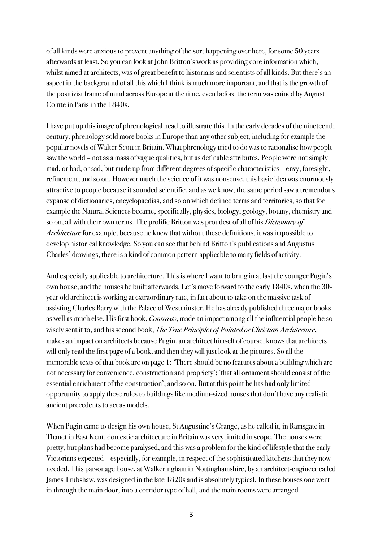of all kinds were anxious to prevent anything of the sort happening over here, for some 50 years afterwards at least. So you can look at John Britton's work as providing core information which, whilst aimed at architects, was of great benefit to historians and scientists of all kinds. But there's an aspect in the background of all this which I think is much more important, and that is the growth of the positivist frame of mind across Europe at the time, even before the term was coined by August Comte in Paris in the 1840s.

I have put up this image of phrenological head to illustrate this. In the early decades of the nineteenth century, phrenology sold more books in Europe than any other subject, including for example the popular novels of Walter Scott in Britain. What phrenology tried to do was to rationalise how people saw the world – not as a mass of vague qualities, but as definable attributes. People were not simply mad, or bad, or sad, but made up from different degrees of specific characteristics – envy, foresight, refinement, and so on. However much the science of it was nonsense, this basic idea was enormously attractive to people because it sounded scientific, and as we know, the same period saw a tremendous expanse of dictionaries, encyclopaedias, and so on which defined terms and territories, so that for example the Natural Sciences became, specifically, physics, biology, geology, botany, chemistry and so on, all with their own terms. The prolific Britton was proudest of all of his *Dictionary of* Architecture for example, because he knew that without these definitions, it was impossible to develop historical knowledge. So you can see that behind Britton's publications and Augustus Charles' drawings, there is a kind of common pattern applicable to many fields of activity.

And especially applicable to architecture. This is where I want to bring in at last the younger Pugin's own house, and the houses he built afterwards. Let's move forward to the early 1840s, when the 30 year old architect is working at extraordinary rate, in fact about to take on the massive task of assisting Charles Barry with the Palace of Westminster. He has already published three major books as well as much else. His first book, *Contrasts*, made an impact among all the influential people he so wisely sent it to, and his second book, The True Principles of Pointed or Christian Architecture, makes an impact on architects because Pugin, an architect himself of course, knows that architects will only read the first page of a book, and then they will just look at the pictures. So all the memorable texts of that book are on page 1: 'There should be no features about a building which are not necessary for convenience, construction and propriety'; 'that all ornament should consist of the essential enrichment of the construction', and so on. But at this point he has had only limited opportunity to apply these rules to buildings like medium-sized houses that don't have any realistic ancient precedents to act as models.

When Pugin came to design his own house, St Augustine's Grange, as he called it, in Ramsgate in Thanet in East Kent, domestic architecture in Britain was very limited in scope. The houses were pretty, but plans had become paralysed, and this was a problem for the kind of lifestyle that the early Victorians expected – especially, for example, in respect of the sophisticated kitchens that they now needed. This parsonage house, at Walkeringham in Nottinghamshire, by an architect-engineer called James Trubshaw, was designed in the late 1820s and is absolutely typical. In these houses one went in through the main door, into a corridor type of hall, and the main rooms were arranged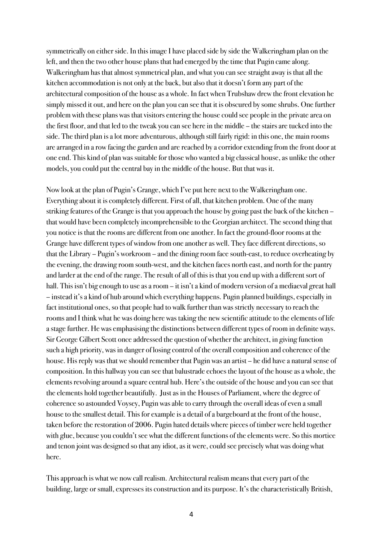symmetrically on either side. In this image I have placed side by side the Walkeringham plan on the left, and then the two other house plans that had emerged by the time that Pugin came along. Walkeringham has that almost symmetrical plan, and what you can see straight away is that all the kitchen accommodation is not only at the back, but also that it doesn't form any part of the architectural composition of the house as a whole. In fact when Trubshaw drew the front elevation he simply missed it out, and here on the plan you can see that it is obscured by some shrubs. One further problem with these plans was that visitors entering the house could see people in the private area on the first floor, and that led to the tweak you can see here in the middle – the stairs are tucked into the side. The third plan isalot more adventurous, although still fairly rigid: in this one, the main rooms are arranged in a row facing the garden and are reached by a corridor extending from the front door at one end. This kind of plan was suitable for those who wanted a big classical house, as unlike the other models, you could put the central bay in the middle of the house. But that was it.

Now look at the plan of Pugin's Grange, which I've put here next to the Walkeringham one. Everything about it is completely different. First of all, that kitchen problem. One of the many striking features of the Grange is that you approach the house by going past the back of the kitchen – that would have been completely incomprehensible to the Georgian architect. The second thing that you notice is that the rooms are different from one another. In fact the ground-floor rooms at the Grange have different types of window from one another as well. They face different directions, so that the Library – Pugin's workroom – and the dining room face south-east, to reduce overheating by the evening, the drawing room south-west, and the kitchen faces north east, and north for the pantry and larder at the end of the range. The result of all of this is that you end up with a different sort of hall. This isn't big enough to use as a room – it isn't a kind of modern version of a mediaeval great hall – instead it's a kind of hub around which everything happens. Pugin planned buildings, especially in fact institutional ones, so that people had to walk further than was strictly necessary to reach the rooms and I think what he was doing here was taking the new scientific attitude to the elements of life a stage further. He was emphasising the distinctions between different types of room in definite ways. Sir George Gilbert Scott once addressed the question of whether the architect, in giving function such a high priority, was in danger of losing control of the overall composition and coherence of the house. His reply was that we should remember that Pugin was an artist – he did have a natural sense of composition. In this hallway you can see that balustrade echoes the layout of the house as a whole, the elements revolving around a square central hub. Here's the outside of the house and you can see that the elements hold together beautifully. Just as in the Houses of Parliament, where the degree of coherence so astounded Voysey, Pugin was able to carry through the overall ideas of even a small house to the smallest detail. This for example is a detail of a bargeboard at the front of the house, taken before the restoration of 2006. Pugin hated details where pieces of timber were held together with glue, because you couldn't see what the different functions of the elements were. So this mortice and tenon joint was designed so that any idiot, as it were, could see precisely what was doing what here.

This approach is what we now call realism. Architectural realism means that every part of the building, large or small, expresses its construction and its purpose. It's the characteristically British,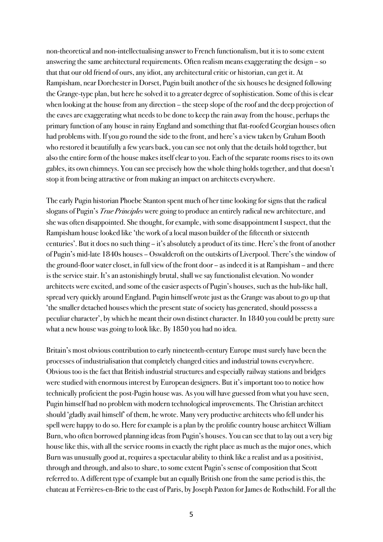non-theoretical and non-intellectualising answer to French functionalism, but it is to some extent answering the same architectural requirements. Often realism means exaggerating the design – so that that our old friend of ours, any idiot, any architectural critic or historian, can get it. At Rampisham, near Dorchester in Dorset, Pugin built another of the six houses he designed following the Grange-type plan, but here he solved it to a greater degree of sophistication. Some of this is clear when looking at the house from any direction – the steep slope of the roof and the deep projection of the eaves are exaggerating what needs to be done to keep the rain away from the house, perhaps the primary function of any house in rainy England and something that flat-roofed Georgian houses often had problems with. If you go round the side to the front, and here's a view taken by Graham Booth who restored it beautifully a few years back, you can see not only that the details hold together, but also the entire form of the house makes itself clear to you. Each of the separate rooms rises to its own gables, its own chimneys. You can see precisely how the whole thing holds together, and that doesn't stop it from being attractive or from making an impact on architects everywhere.

The early Pugin historian Phoebe Stanton spent much of her time looking for signs that the radical slogans of Pugin's *True Principles* were going to produce an entirely radical new architecture, and she was often disappointed. She thought, for example, with some disappointment I suspect, that the Rampisham house looked like 'the work of a local mason builder of the fifteenth or sixteenth centuries'. But it does no such thing – it's absolutely a product of its time. Here's the front of another of Pugin's mid-late 1840s houses – Oswaldcroft on the outskirts of Liverpool. There's the window of the ground-floor water closet, in full view of the front door – as indeed it is at Rampisham – and there is the service stair. It's an astonishingly brutal, shall we say functionalist elevation. No wonder architects were excited, and some of the easieraspects of Pugin's houses, such as the hub-like hall, spread very quickly around England. Pugin himself wrote just as the Grange was about to go up that 'the smaller detached houses which the present state of society has generated, should possess a peculiar character', by which he meant their own distinct character. In 1840 you could be pretty sure what a new house was going to look like. By 1850 you had no idea.

Britain's most obvious contribution to early nineteenth-century Europe must surely have been the processes of industrialisation that completely changed cities and industrial towns everywhere. Obvious too is the fact that British industrial structures and especially railway stations and bridges were studied with enormous interest by European designers. But it's important too to notice how technically proficient the post-Pugin house was. As you will have guessed from what you have seen, Pugin himself had no problem with modern technological improvements. The Christian architect should 'gladly avail himself' of them, he wrote. Many very productive architects who fell under his spell were happy to do so. Here for example is a plan by the prolific country house architect William Burn, who often borrowed planning ideas from Pugin's houses. You can see that to lay out a very big house like this, with all the service rooms in exactly the right place as much as the major ones, which Burn was unusually good at, requires a spectacular ability to think like a realistand as a positivist, through and through, and also to share, to some extent Pugin's sense of composition that Scott referred to. A different type of example but an equally British one from the same period is this, the chateau at Ferrières-en-Brie to the east of Paris, by Joseph Paxton for James de Rothschild. For all the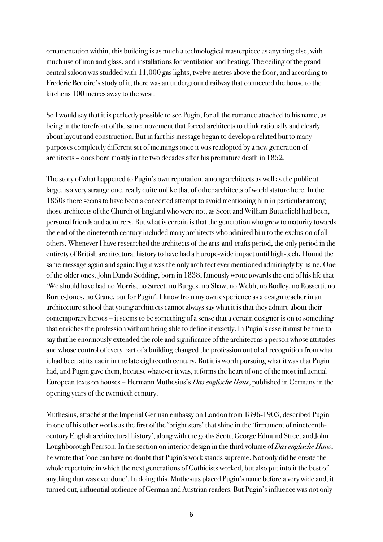ornamentation within, this building is as much a technological masterpiece as anything else, with much use of iron and glass, and installations for ventilation and heating. The ceiling of the grand central saloon was studded with 11,000 gas lights, twelve metres above the floor, and according to Frederic Bedoire's study of it, there was an underground railway that connected the house to the kitchens 100 metres away to the west.

So I would say that it is perfectly possible to see Pugin, for all the romance attached to his name, as being in the forefront of the same movement that forced architects to think rationally and clearly about layout and construction. But in fact his message began to develop a related but to many purposes completely different set of meanings once it was readopted by a new generation of architects – ones born mostly in the two decadesafter his premature death in 1852.

The story of what happened to Pugin's own reputation, among architects as well as the public at large, is a very strange one, really quite unlike that of other architects of world stature here. In the 1850s there seems to have been a concerted attempt to avoid mentioning him in particularamong those architects of the Church of England who were not, as Scott and William Butterfield had been, personal friendsand admirers. But what is certain is that the generation who grew to maturity towards the end of the nineteenth century included many architects who admired him to the exclusion of all others. Whenever I have researched the architects of the arts-and-crafts period, the only period in the entirety of British architectural history to have had a Europe-wide impact until high-tech, I found the same message again and again: Pugin was the only architect ever mentioned admiringly by name. One of the older ones, John Dando Sedding, born in 1838, famously wrote towards the end of his life that 'We should have had no Morris, no Street, no Burges, no Shaw, no Webb, no Bodley, no Rossetti, no Burne-Jones, no Crane, but for Pugin'. I know from my own experience as a design teacher in an architecture school that young architects cannot always say what it is that they admire about their contemporary heroes – it seems to be something of a sense that a certain designer is on to something that enriches the profession without being able to define it exactly. In Pugin's case it must be true to say that he enormously extended the role and significance of the architect as a person whose attitudes and whose control of every part of a building changed the profession out of all recognition from what it had been at its nadir in the late eighteenth century. But it is worth pursuing what it was that Pugin had, and Pugin gave them, because whatever it was, it forms the heart of one of the most influential European texts on houses – Hermann Muthesius's Das englische Haus, published in Germany in the opening years of the twentieth century.

Muthesius, attaché at the Imperial German embassy on London from 1896-1903, described Pugin in one of his other works as the first of the 'bright stars' that shine in the 'firmament of nineteenthcentury English architectural history', along with the goths Scott, George Edmund Streetand John Loughborough Pearson. In the section on interior design in the third volume of Das englische Haus, he wrote that 'one can have no doubt that Pugin's work stands supreme. Not only did he create the whole repertoire in which the next generations of Gothicists worked, but also put into it the best of anything that was ever done'. In doing this, Muthesius placed Pugin's name before a very wide and, it turned out, influentialaudience of German and Austrian readers. But Pugin's influence was not only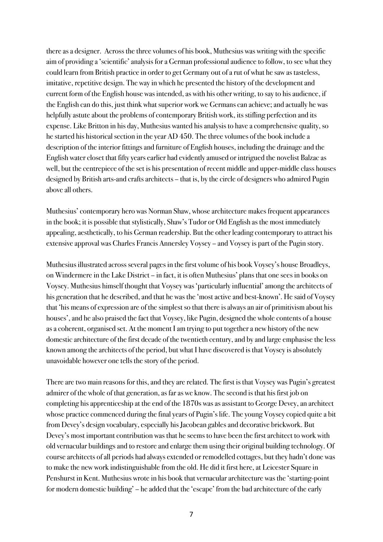there as a designer. Across the three volumes of his book, Muthesius was writing with the specific aim of providing a 'scientific' analysis for a German professional audience to follow, to see what they could learn from British practice in order to get Germany out of a rut of what he saw as tasteless, imitative, repetitive design. The way in which he presented the history of the development and current form of the English house was intended, as with his other writing, to say to his audience, if the English can do this, just think what superior work we Germans can achieve; and actually he was helpfully astute about the problems of contemporary British work, its stifling perfection and its expense. Like Britton in his day, Muthesius wanted his analysis to have a comprehensive quality, so he started his historical section in the year AD 450. The three volumes of the book include a description of the interior fittings and furniture of English houses, including the drainage and the English water closet that fifty years earlier had evidently amused or intrigued the novelist Balzac as well, but the centrepiece of the set is his presentation of recent middle and upper-middle class houses designed by British arts-and crafts architects – that is, by the circle of designers who admired Pugin above all others.

Muthesius' contemporary hero was Norman Shaw, whose architecture makes frequent appearances in the book; it is possible that stylistically, Shaw's Tudor or Old English as the most immediately appealing, aesthetically, to his German readership. But the other leading contemporary to attract his extensive approval was Charles Francis Annersley Voysey – and Voysey is part of the Pugin story.

Muthesius illustrated across several pages in the first volume of his book Voysey's house Broadleys, on Windermere in the Lake District – in fact, it is often Muthesius' plans that one sees in books on Voysey. Muthesius himself thought that Voysey was 'particularly influential' among the architects of his generation that he described, and that he was the 'most active and best-known'. He said of Voysey that 'his means of expression are of the simplest so that there is always an air of primitivism about his houses', and he also praised the fact that Voysey, like Pugin, designed the whole contents of a house asa coherent, organised set. At the moment I am trying to put together a new history of the new domestic architecture of the first decade of the twentieth century, and by and large emphasise the less known among the architects of the period, but what I have discovered is that Voysey is absolutely unavoidable however one tells the story of the period.

There are two main reasons for this, and they are related. The first is that Voysey was Pugin's greatest admirer of the whole of that generation, as far as we know. The second is that his first job on completing his apprenticeship at the end of the 1870s was as assistant to George Devey, an architect whose practice commenced during the final years of Pugin's life. The young Voysey copied quite a bit from Devey's design vocabulary, especially his Jacobean gables and decorative brickwork. But Devey's most important contribution was that he seems to have been the first architect to work with old vernacular buildings and to restore and enlarge them using their original building technology. Of course architects of all periods had always extended or remodelled cottages, but they hadn't done was to make the new work indistinguishable from the old. He did it first here, at Leicester Square in Penshurst in Kent. Muthesius wrote in his book that vernaculararchitecture was the 'starting-point for modern domestic building' – he added that the 'escape' from the bad architecture of the early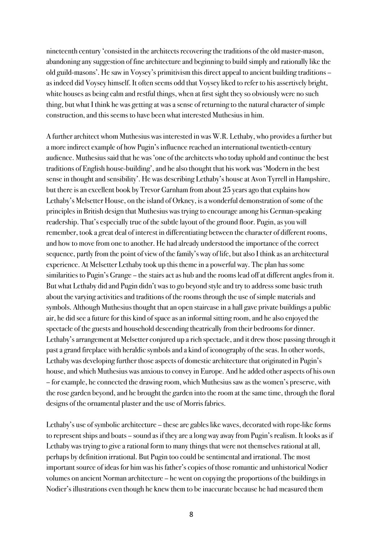nineteenth century 'consisted in the architects recovering the traditions of the old master-mason, abandoning any suggestion of fine architecture and beginning to build simply and rationally like the old guild-masons'. He saw in Voysey's primitivism this direct appeal to ancient building traditions – as indeed did Voysey himself. It often seems odd that Voysey liked to refer to his assertively bright, white houses as being calm and restful things, when at first sight they so obviously were no such thing, but what I think he was getting at was a sense of returning to the natural character of simple construction, and this seems to have been what interested Muthesius in him.

A further architect whom Muthesius was interested in was W.R. Lethaby, who provides a further but a more indirect example of how Pugin's influence reached an international twentieth-century audience. Muthesius said that he was 'one of the architects who today uphold and continue the best traditions of English house-building', and he also thought that his work was 'Modern in the best sense in thought and sensibility'. He was describing Lethaby's house at Avon Tyrrell in Hampshire, but there is an excellent book by Trevor Garnham from about 25 years ago that explains how Lethaby's Melsetter House, on the island of Orkney, is a wonderful demonstration of some of the principles in British design that Muthesius was trying to encourage among his German-speaking readership. That's especially true of the subtle layout of the ground floor. Pugin, as you will remember, took a great deal of interest in differentiating between the character of different rooms, and how to move from one to another. He had already understood the importance of the correct sequence, partly from the point of view of the family's way of life, but also I think as an architectural experience. At Melsetter Lethaby took up this theme in a powerful way. The plan has some similarities to Pugin's Grange – the stairs act as hub and the rooms lead off at different angles from it. But what Lethaby did and Pugin didn't was to go beyond style and try to address some basic truth about the varying activities and traditions of the rooms through the use of simple materials and symbols. Although Muthesius thought that an open staircase in a hall gave private buildings a public air, he did see a future for this kind of space as an informal sitting room, and he also enjoyed the spectacle of the guests and household descending theatrically from their bedrooms for dinner. Lethaby's arrangement at Melsetter conjured up a rich spectacle, and it drew those passing through it past a grand fireplace with heraldic symbols and a kind of iconography of the seas. In other words, Lethaby was developing further those aspects of domestic architecture that originated in Pugin's house, and which Muthesius was anxious to convey in Europe. And he added other aspects of his own – for example, he connected the drawing room, which Muthesius saw as the women's preserve, with the rose garden beyond, and he brought the garden into the room at the same time, through the floral designs of the ornamental plaster and the use of Morris fabrics.

Lethaby's use of symbolic architecture – these are gables like waves, decorated with rope-like forms to represent ships and boats – sound as if they are a long way away from Pugin's realism. It looks as if Lethaby was trying to give a rational form to many things that were not themselves rational at all, perhaps by definition irrational. But Pugin too could be sentimental and irrational. The most important source of ideas for him was his father's copies of those romantic and unhistorical Nodier volumes on ancient Norman architecture – he went on copying the proportions of the buildings in Nodier's illustrations even though he knew them to be inaccurate because he had measured them